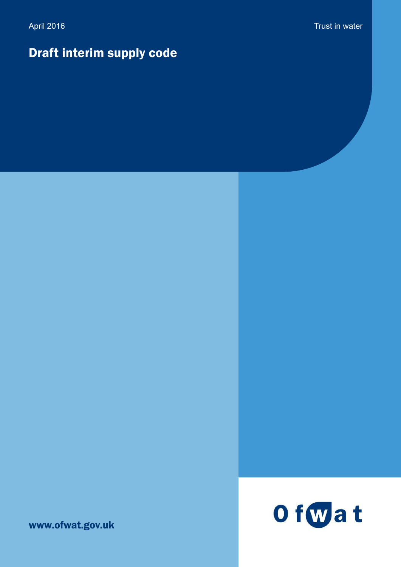# Draft interim supply code

www.ofwat.gov.uk

# Of wat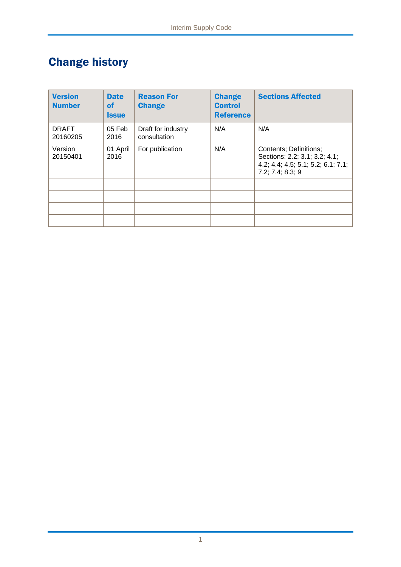# Change history

| <b>Version</b><br><b>Number</b> | <b>Date</b><br>οf<br><b>Issue</b> | <b>Reason For</b><br><b>Change</b> | <b>Change</b><br><b>Control</b><br><b>Reference</b> | <b>Sections Affected</b>                                                                                          |
|---------------------------------|-----------------------------------|------------------------------------|-----------------------------------------------------|-------------------------------------------------------------------------------------------------------------------|
| <b>DRAFT</b><br>20160205        | 05 Feb<br>2016                    | Draft for industry<br>consultation | N/A                                                 | N/A                                                                                                               |
| Version<br>20150401             | 01 April<br>2016                  | For publication                    | N/A                                                 | Contents; Definitions;<br>Sections: 2.2; 3.1; 3.2; 4.1;<br>4.2; 4.4; 4.5; 5.1; 5.2; 6.1; 7.1;<br>7.2; 7.4; 8.3; 9 |
|                                 |                                   |                                    |                                                     |                                                                                                                   |
|                                 |                                   |                                    |                                                     |                                                                                                                   |
|                                 |                                   |                                    |                                                     |                                                                                                                   |
|                                 |                                   |                                    |                                                     |                                                                                                                   |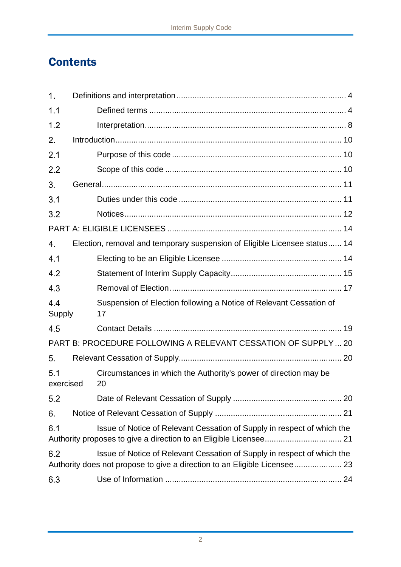# **Contents**

| 1.               |                                                                                                                                                      |
|------------------|------------------------------------------------------------------------------------------------------------------------------------------------------|
| 1.1              |                                                                                                                                                      |
| 1.2              |                                                                                                                                                      |
| 2.               |                                                                                                                                                      |
| 2.1              |                                                                                                                                                      |
| 2.2              |                                                                                                                                                      |
| 3.               |                                                                                                                                                      |
| 3.1              |                                                                                                                                                      |
| 3.2              |                                                                                                                                                      |
|                  |                                                                                                                                                      |
| 4.               | Election, removal and temporary suspension of Eligible Licensee status 14                                                                            |
| 4.1              |                                                                                                                                                      |
| 4.2              |                                                                                                                                                      |
| 4.3              |                                                                                                                                                      |
| 4.4<br>Supply    | Suspension of Election following a Notice of Relevant Cessation of<br>17                                                                             |
| 4.5              |                                                                                                                                                      |
|                  | PART B: PROCEDURE FOLLOWING A RELEVANT CESSATION OF SUPPLY 20                                                                                        |
| 5.               |                                                                                                                                                      |
| 5.1<br>exercised | Circumstances in which the Authority's power of direction may be<br>20                                                                               |
| 5.2              |                                                                                                                                                      |
| 6.               |                                                                                                                                                      |
| 6.1              | Issue of Notice of Relevant Cessation of Supply in respect of which the                                                                              |
| 6.2              | Issue of Notice of Relevant Cessation of Supply in respect of which the<br>Authority does not propose to give a direction to an Eligible Licensee 23 |
| 6.3              |                                                                                                                                                      |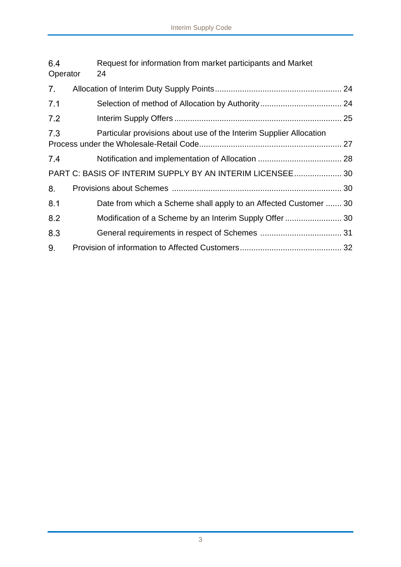| 6.4<br>Operator | Request for information from market participants and Market<br>24  |  |
|-----------------|--------------------------------------------------------------------|--|
| 7.              |                                                                    |  |
| 7.1             |                                                                    |  |
| 7.2             |                                                                    |  |
| 7.3             | Particular provisions about use of the Interim Supplier Allocation |  |
| 7.4             |                                                                    |  |
|                 | PART C: BASIS OF INTERIM SUPPLY BY AN INTERIM LICENSEE 30          |  |
| 8.              |                                                                    |  |
| 8.1             | Date from which a Scheme shall apply to an Affected Customer  30   |  |
| 8.2             |                                                                    |  |
| 8.3             |                                                                    |  |
| 9.              |                                                                    |  |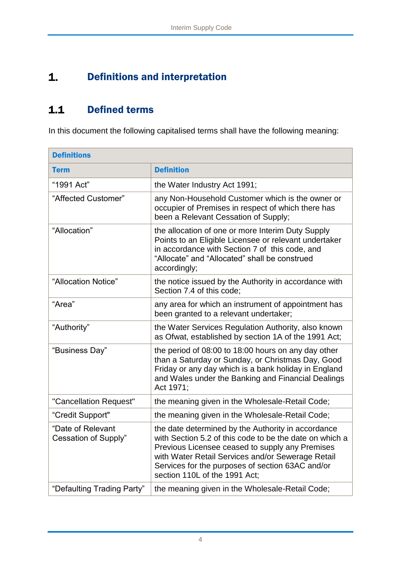# <span id="page-4-0"></span> $1.$ Definitions and interpretation

# <span id="page-4-1"></span> $1.1$ Defined terms

In this document the following capitalised terms shall have the following meaning:

| <b>Definitions</b>                        |                                                                                                                                                                                                                                                                                                            |  |
|-------------------------------------------|------------------------------------------------------------------------------------------------------------------------------------------------------------------------------------------------------------------------------------------------------------------------------------------------------------|--|
| <b>Term</b>                               | <b>Definition</b>                                                                                                                                                                                                                                                                                          |  |
| "1991 Act"                                | the Water Industry Act 1991;                                                                                                                                                                                                                                                                               |  |
| "Affected Customer"                       | any Non-Household Customer which is the owner or<br>occupier of Premises in respect of which there has<br>been a Relevant Cessation of Supply;                                                                                                                                                             |  |
| "Allocation"                              | the allocation of one or more Interim Duty Supply<br>Points to an Eligible Licensee or relevant undertaker<br>in accordance with Section 7 of this code, and<br>"Allocate" and "Allocated" shall be construed<br>accordingly;                                                                              |  |
| "Allocation Notice"                       | the notice issued by the Authority in accordance with<br>Section 7.4 of this code;                                                                                                                                                                                                                         |  |
| "Area"                                    | any area for which an instrument of appointment has<br>been granted to a relevant undertaker;                                                                                                                                                                                                              |  |
| "Authority"                               | the Water Services Regulation Authority, also known<br>as Ofwat, established by section 1A of the 1991 Act;                                                                                                                                                                                                |  |
| "Business Day"                            | the period of 08:00 to 18:00 hours on any day other<br>than a Saturday or Sunday, or Christmas Day, Good<br>Friday or any day which is a bank holiday in England<br>and Wales under the Banking and Financial Dealings<br>Act 1971;                                                                        |  |
| "Cancellation Request"                    | the meaning given in the Wholesale-Retail Code;                                                                                                                                                                                                                                                            |  |
| "Credit Support"                          | the meaning given in the Wholesale-Retail Code;                                                                                                                                                                                                                                                            |  |
| "Date of Relevant<br>Cessation of Supply" | the date determined by the Authority in accordance<br>with Section 5.2 of this code to be the date on which a<br>Previous Licensee ceased to supply any Premises<br>with Water Retail Services and/or Sewerage Retail<br>Services for the purposes of section 63AC and/or<br>section 110L of the 1991 Act: |  |
| "Defaulting Trading Party"                | the meaning given in the Wholesale-Retail Code;                                                                                                                                                                                                                                                            |  |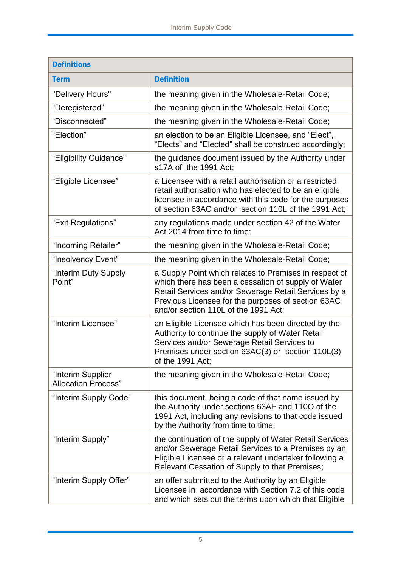| <b>Definitions</b>                              |                                                                                                                                                                                                                                                                     |  |
|-------------------------------------------------|---------------------------------------------------------------------------------------------------------------------------------------------------------------------------------------------------------------------------------------------------------------------|--|
| <b>Term</b>                                     | <b>Definition</b>                                                                                                                                                                                                                                                   |  |
| "Delivery Hours"                                | the meaning given in the Wholesale-Retail Code;                                                                                                                                                                                                                     |  |
| "Deregistered"                                  | the meaning given in the Wholesale-Retail Code;                                                                                                                                                                                                                     |  |
| "Disconnected"                                  | the meaning given in the Wholesale-Retail Code;                                                                                                                                                                                                                     |  |
| "Election"                                      | an election to be an Eligible Licensee, and "Elect",<br>"Elects" and "Elected" shall be construed accordingly;                                                                                                                                                      |  |
| "Eligibility Guidance"                          | the guidance document issued by the Authority under<br>s17A of the 1991 Act;                                                                                                                                                                                        |  |
| "Eligible Licensee"                             | a Licensee with a retail authorisation or a restricted<br>retail authorisation who has elected to be an eligible<br>licensee in accordance with this code for the purposes<br>of section 63AC and/or section 110L of the 1991 Act;                                  |  |
| "Exit Regulations"                              | any regulations made under section 42 of the Water<br>Act 2014 from time to time;                                                                                                                                                                                   |  |
| "Incoming Retailer"                             | the meaning given in the Wholesale-Retail Code;                                                                                                                                                                                                                     |  |
| "Insolvency Event"                              | the meaning given in the Wholesale-Retail Code;                                                                                                                                                                                                                     |  |
| "Interim Duty Supply<br>Point"                  | a Supply Point which relates to Premises in respect of<br>which there has been a cessation of supply of Water<br>Retail Services and/or Sewerage Retail Services by a<br>Previous Licensee for the purposes of section 63AC<br>and/or section 110L of the 1991 Act; |  |
| "Interim Licensee"                              | an Eligible Licensee which has been directed by the<br>Authority to continue the supply of Water Retail<br>Services and/or Sewerage Retail Services to<br>Premises under section 63AC(3) or section 110L(3)<br>of the 1991 Act:                                     |  |
| "Interim Supplier<br><b>Allocation Process"</b> | the meaning given in the Wholesale-Retail Code;                                                                                                                                                                                                                     |  |
| "Interim Supply Code"                           | this document, being a code of that name issued by<br>the Authority under sections 63AF and 1100 of the<br>1991 Act, including any revisions to that code issued<br>by the Authority from time to time;                                                             |  |
| "Interim Supply"                                | the continuation of the supply of Water Retail Services<br>and/or Sewerage Retail Services to a Premises by an<br>Eligible Licensee or a relevant undertaker following a<br>Relevant Cessation of Supply to that Premises;                                          |  |
| "Interim Supply Offer"                          | an offer submitted to the Authority by an Eligible<br>Licensee in accordance with Section 7.2 of this code<br>and which sets out the terms upon which that Eligible                                                                                                 |  |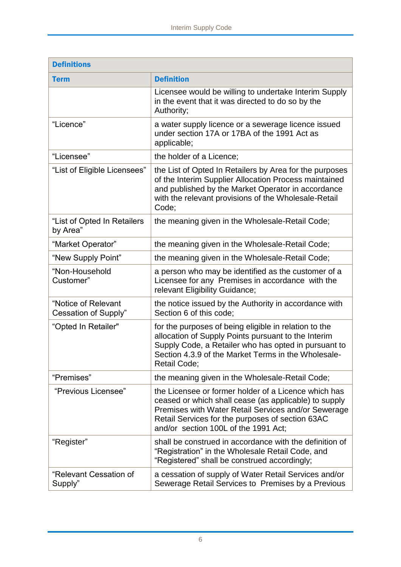| <b>Definitions</b>                                 |                                                                                                                                                                                                                                                                  |  |
|----------------------------------------------------|------------------------------------------------------------------------------------------------------------------------------------------------------------------------------------------------------------------------------------------------------------------|--|
| <b>Term</b>                                        | <b>Definition</b>                                                                                                                                                                                                                                                |  |
|                                                    | Licensee would be willing to undertake Interim Supply<br>in the event that it was directed to do so by the<br>Authority;                                                                                                                                         |  |
| "Licence"                                          | a water supply licence or a sewerage licence issued<br>under section 17A or 17BA of the 1991 Act as<br>applicable;                                                                                                                                               |  |
| "Licensee"                                         | the holder of a Licence;                                                                                                                                                                                                                                         |  |
| "List of Eligible Licensees"                       | the List of Opted In Retailers by Area for the purposes<br>of the Interim Supplier Allocation Process maintained<br>and published by the Market Operator in accordance<br>with the relevant provisions of the Wholesale-Retail<br>Code:                          |  |
| "List of Opted In Retailers<br>by Area"            | the meaning given in the Wholesale-Retail Code;                                                                                                                                                                                                                  |  |
| "Market Operator"                                  | the meaning given in the Wholesale-Retail Code;                                                                                                                                                                                                                  |  |
| "New Supply Point"                                 | the meaning given in the Wholesale-Retail Code;                                                                                                                                                                                                                  |  |
| "Non-Household<br>Customer"                        | a person who may be identified as the customer of a<br>Licensee for any Premises in accordance with the<br>relevant Eligibility Guidance;                                                                                                                        |  |
| "Notice of Relevant<br><b>Cessation of Supply"</b> | the notice issued by the Authority in accordance with<br>Section 6 of this code;                                                                                                                                                                                 |  |
| "Opted In Retailer"                                | for the purposes of being eligible in relation to the<br>allocation of Supply Points pursuant to the Interim<br>Supply Code, a Retailer who has opted in pursuant to<br>Section 4.3.9 of the Market Terms in the Wholesale-<br><b>Retail Code;</b>               |  |
| "Premises"                                         | the meaning given in the Wholesale-Retail Code;                                                                                                                                                                                                                  |  |
| "Previous Licensee"                                | the Licensee or former holder of a Licence which has<br>ceased or which shall cease (as applicable) to supply<br>Premises with Water Retail Services and/or Sewerage<br>Retail Services for the purposes of section 63AC<br>and/or section 100L of the 1991 Act; |  |
| "Register"                                         | shall be construed in accordance with the definition of<br>"Registration" in the Wholesale Retail Code, and<br>"Registered" shall be construed accordingly;                                                                                                      |  |
| "Relevant Cessation of<br>Supply"                  | a cessation of supply of Water Retail Services and/or<br>Sewerage Retail Services to Premises by a Previous                                                                                                                                                      |  |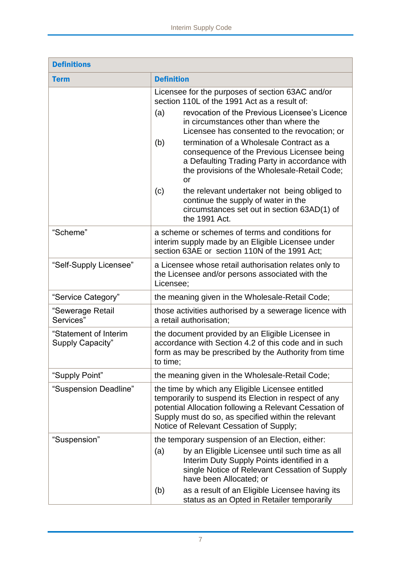| <b>Definitions</b>                        |                                                                                                                                                                                                                                                                                                                                            |  |
|-------------------------------------------|--------------------------------------------------------------------------------------------------------------------------------------------------------------------------------------------------------------------------------------------------------------------------------------------------------------------------------------------|--|
| <b>Term</b>                               | <b>Definition</b>                                                                                                                                                                                                                                                                                                                          |  |
|                                           | Licensee for the purposes of section 63AC and/or<br>section 110L of the 1991 Act as a result of:                                                                                                                                                                                                                                           |  |
|                                           | (a)<br>revocation of the Previous Licensee's Licence<br>in circumstances other than where the<br>Licensee has consented to the revocation; or                                                                                                                                                                                              |  |
|                                           | termination of a Wholesale Contract as a<br>(b)<br>consequence of the Previous Licensee being<br>a Defaulting Trading Party in accordance with<br>the provisions of the Wholesale-Retail Code;<br><b>or</b>                                                                                                                                |  |
|                                           | the relevant undertaker not being obliged to<br>(c)<br>continue the supply of water in the<br>circumstances set out in section 63AD(1) of<br>the 1991 Act.                                                                                                                                                                                 |  |
| "Scheme"                                  | a scheme or schemes of terms and conditions for<br>interim supply made by an Eligible Licensee under<br>section 63AE or section 110N of the 1991 Act:                                                                                                                                                                                      |  |
| "Self-Supply Licensee"                    | a Licensee whose retail authorisation relates only to<br>the Licensee and/or persons associated with the<br>Licensee;                                                                                                                                                                                                                      |  |
| "Service Category"                        | the meaning given in the Wholesale-Retail Code;                                                                                                                                                                                                                                                                                            |  |
| "Sewerage Retail<br>Services"             | those activities authorised by a sewerage licence with<br>a retail authorisation;                                                                                                                                                                                                                                                          |  |
| "Statement of Interim<br>Supply Capacity" | the document provided by an Eligible Licensee in<br>accordance with Section 4.2 of this code and in such<br>form as may be prescribed by the Authority from time<br>to time;                                                                                                                                                               |  |
| "Supply Point"                            | the meaning given in the Wholesale-Retail Code;                                                                                                                                                                                                                                                                                            |  |
| "Suspension Deadline"                     | the time by which any Eligible Licensee entitled<br>temporarily to suspend its Election in respect of any<br>potential Allocation following a Relevant Cessation of<br>Supply must do so, as specified within the relevant<br>Notice of Relevant Cessation of Supply;                                                                      |  |
| "Suspension"                              | the temporary suspension of an Election, either:<br>by an Eligible Licensee until such time as all<br>(a)<br>Interim Duty Supply Points identified in a<br>single Notice of Relevant Cessation of Supply<br>have been Allocated; or<br>as a result of an Eligible Licensee having its<br>(b)<br>status as an Opted in Retailer temporarily |  |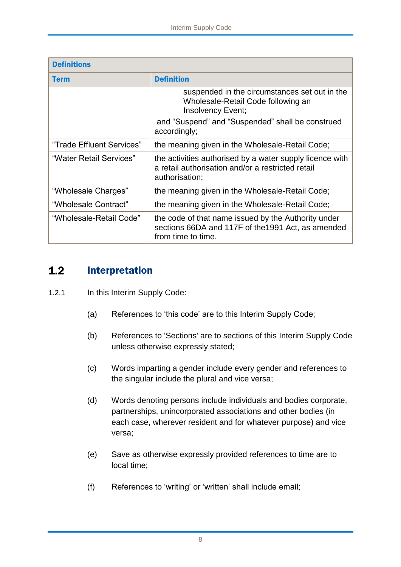| <b>Definitions</b>        |                                                                                                                                 |  |
|---------------------------|---------------------------------------------------------------------------------------------------------------------------------|--|
| <b>Term</b>               | <b>Definition</b>                                                                                                               |  |
|                           | suspended in the circumstances set out in the<br>Wholesale-Retail Code following an<br>Insolvency Event;                        |  |
|                           | and "Suspend" and "Suspended" shall be construed<br>accordingly;                                                                |  |
| "Trade Effluent Services" | the meaning given in the Wholesale-Retail Code;                                                                                 |  |
| "Water Retail Services"   | the activities authorised by a water supply licence with<br>a retail authorisation and/or a restricted retail<br>authorisation; |  |
| "Wholesale Charges"       | the meaning given in the Wholesale-Retail Code;                                                                                 |  |
| "Wholesale Contract"      | the meaning given in the Wholesale-Retail Code;                                                                                 |  |
| "Wholesale-Retail Code"   | the code of that name issued by the Authority under<br>sections 66DA and 117F of the 1991 Act, as amended<br>from time to time. |  |

### <span id="page-8-0"></span> $1.2$ Interpretation

- 1.2.1 In this Interim Supply Code:
	- (a) References to 'this code' are to this Interim Supply Code;
	- (b) References to 'Sections' are to sections of this Interim Supply Code unless otherwise expressly stated;
	- (c) Words imparting a gender include every gender and references to the singular include the plural and vice versa;
	- (d) Words denoting persons include individuals and bodies corporate, partnerships, unincorporated associations and other bodies (in each case, wherever resident and for whatever purpose) and vice versa;
	- (e) Save as otherwise expressly provided references to time are to local time;
	- (f) References to 'writing' or 'written' shall include email;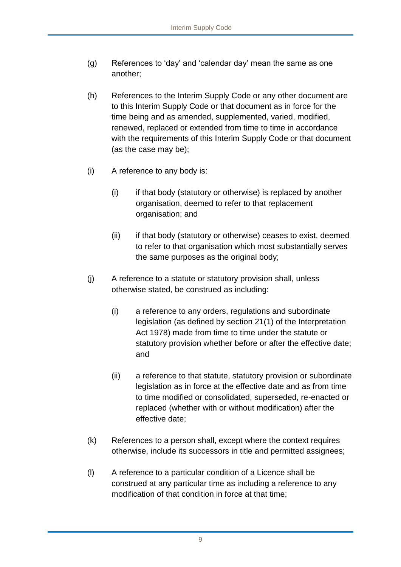- (g) References to 'day' and 'calendar day' mean the same as one another;
- (h) References to the Interim Supply Code or any other document are to this Interim Supply Code or that document as in force for the time being and as amended, supplemented, varied, modified, renewed, replaced or extended from time to time in accordance with the requirements of this Interim Supply Code or that document (as the case may be);
- (i) A reference to any body is:
	- (i) if that body (statutory or otherwise) is replaced by another organisation, deemed to refer to that replacement organisation; and
	- (ii) if that body (statutory or otherwise) ceases to exist, deemed to refer to that organisation which most substantially serves the same purposes as the original body;
- (j) A reference to a statute or statutory provision shall, unless otherwise stated, be construed as including:
	- (i) a reference to any orders, regulations and subordinate legislation (as defined by section 21(1) of the Interpretation Act 1978) made from time to time under the statute or statutory provision whether before or after the effective date; and
	- (ii) a reference to that statute, statutory provision or subordinate legislation as in force at the effective date and as from time to time modified or consolidated, superseded, re-enacted or replaced (whether with or without modification) after the effective date;
- (k) References to a person shall, except where the context requires otherwise, include its successors in title and permitted assignees;
- (l) A reference to a particular condition of a Licence shall be construed at any particular time as including a reference to any modification of that condition in force at that time;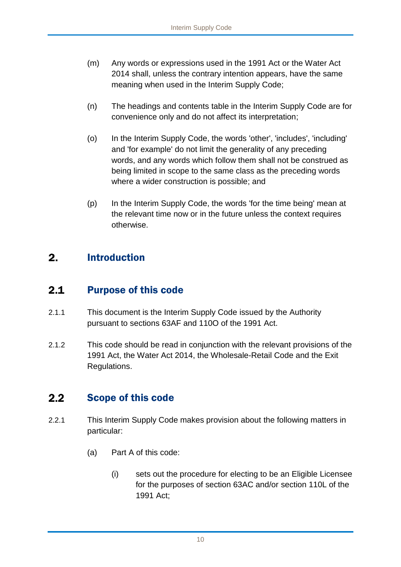- (m) Any words or expressions used in the 1991 Act or the Water Act 2014 shall, unless the contrary intention appears, have the same meaning when used in the Interim Supply Code;
- (n) The headings and contents table in the Interim Supply Code are for convenience only and do not affect its interpretation;
- (o) In the Interim Supply Code, the words 'other', 'includes', 'including' and 'for example' do not limit the generality of any preceding words, and any words which follow them shall not be construed as being limited in scope to the same class as the preceding words where a wider construction is possible; and
- (p) In the Interim Supply Code, the words 'for the time being' mean at the relevant time now or in the future unless the context requires otherwise.

# <span id="page-10-0"></span> $2.$ Introduction

#### <span id="page-10-1"></span> $2.1$ Purpose of this code

- 2.1.1 This document is the Interim Supply Code issued by the Authority pursuant to sections 63AF and 110O of the 1991 Act.
- 2.1.2 This code should be read in conjunction with the relevant provisions of the 1991 Act, the Water Act 2014, the Wholesale-Retail Code and the Exit Regulations.

# <span id="page-10-2"></span> $2.2$ Scope of this code

- 2.2.1 This Interim Supply Code makes provision about the following matters in particular:
	- (a) Part A of this code:
		- (i) sets out the procedure for electing to be an Eligible Licensee for the purposes of section 63AC and/or section 110L of the 1991 Act;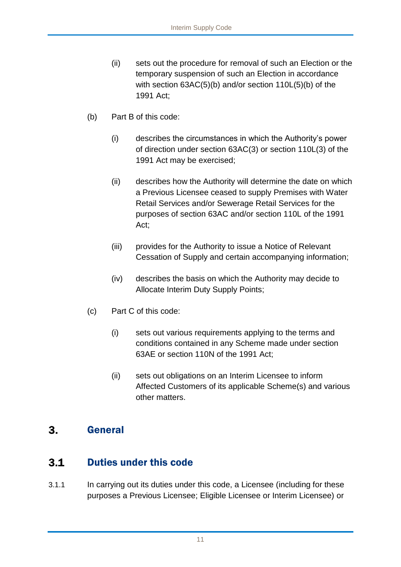- (ii) sets out the procedure for removal of such an Election or the temporary suspension of such an Election in accordance with section 63AC(5)(b) and/or section 110L(5)(b) of the 1991 Act;
- (b) Part B of this code:
	- (i) describes the circumstances in which the Authority's power of direction under section 63AC(3) or section 110L(3) of the 1991 Act may be exercised;
	- (ii) describes how the Authority will determine the date on which a Previous Licensee ceased to supply Premises with Water Retail Services and/or Sewerage Retail Services for the purposes of section 63AC and/or section 110L of the 1991 Act;
	- (iii) provides for the Authority to issue a Notice of Relevant Cessation of Supply and certain accompanying information;
	- (iv) describes the basis on which the Authority may decide to Allocate Interim Duty Supply Points;
- (c) Part C of this code:
	- (i) sets out various requirements applying to the terms and conditions contained in any Scheme made under section 63AE or section 110N of the 1991 Act;
	- (ii) sets out obligations on an Interim Licensee to inform Affected Customers of its applicable Scheme(s) and various other matters.

#### <span id="page-11-0"></span> $3.$ General

#### <span id="page-11-1"></span>Duties under this code  $3.1$

3.1.1 In carrying out its duties under this code, a Licensee (including for these purposes a Previous Licensee; Eligible Licensee or Interim Licensee) or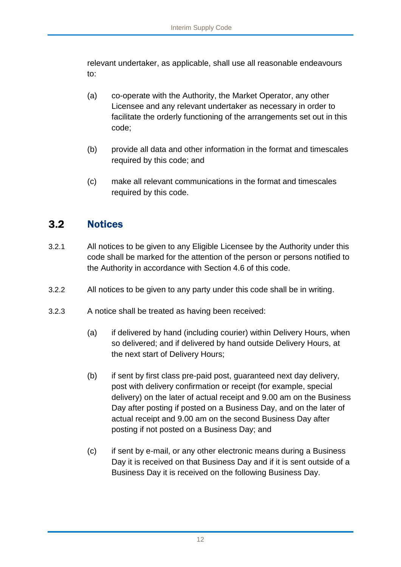relevant undertaker, as applicable, shall use all reasonable endeavours to:

- (a) co-operate with the Authority, the Market Operator, any other Licensee and any relevant undertaker as necessary in order to facilitate the orderly functioning of the arrangements set out in this code;
- (b) provide all data and other information in the format and timescales required by this code; and
- (c) make all relevant communications in the format and timescales required by this code.

# <span id="page-12-0"></span> $3.2<sub>2</sub>$ **Notices**

- 3.2.1 All notices to be given to any Eligible Licensee by the Authority under this code shall be marked for the attention of the person or persons notified to the Authority in accordance with Section 4.6 of this code.
- 3.2.2 All notices to be given to any party under this code shall be in writing.
- 3.2.3 A notice shall be treated as having been received:
	- (a) if delivered by hand (including courier) within Delivery Hours, when so delivered; and if delivered by hand outside Delivery Hours, at the next start of Delivery Hours;
	- (b) if sent by first class pre-paid post, guaranteed next day delivery, post with delivery confirmation or receipt (for example, special delivery) on the later of actual receipt and 9.00 am on the Business Day after posting if posted on a Business Day, and on the later of actual receipt and 9.00 am on the second Business Day after posting if not posted on a Business Day; and
	- (c) if sent by e-mail, or any other electronic means during a Business Day it is received on that Business Day and if it is sent outside of a Business Day it is received on the following Business Day.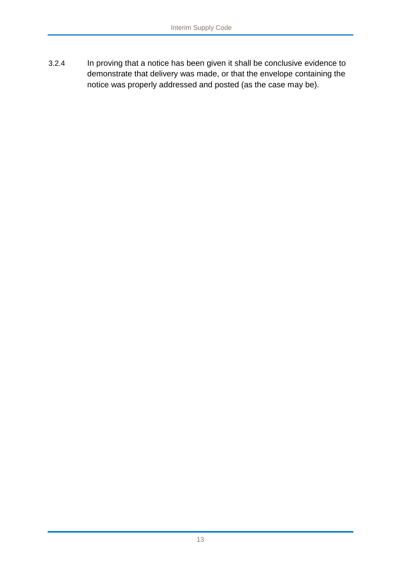3.2.4 In proving that a notice has been given it shall be conclusive evidence to demonstrate that delivery was made, or that the envelope containing the notice was properly addressed and posted (as the case may be).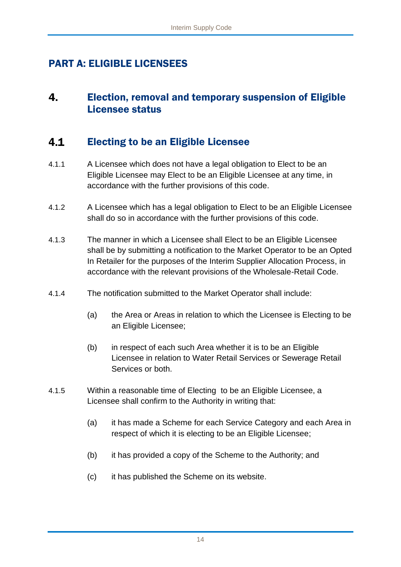# <span id="page-14-0"></span>PART A: ELIGIBLE LICENSEES

# <span id="page-14-1"></span> $\mathbf{4}$ Election, removal and temporary suspension of Eligible Licensee status

#### <span id="page-14-2"></span> $4.1$ Electing to be an Eligible Licensee

- 4.1.1 A Licensee which does not have a legal obligation to Elect to be an Eligible Licensee may Elect to be an Eligible Licensee at any time, in accordance with the further provisions of this code.
- 4.1.2 A Licensee which has a legal obligation to Elect to be an Eligible Licensee shall do so in accordance with the further provisions of this code.
- 4.1.3 The manner in which a Licensee shall Elect to be an Eligible Licensee shall be by submitting a notification to the Market Operator to be an Opted In Retailer for the purposes of the Interim Supplier Allocation Process, in accordance with the relevant provisions of the Wholesale-Retail Code.
- 4.1.4 The notification submitted to the Market Operator shall include:
	- (a) the Area or Areas in relation to which the Licensee is Electing to be an Eligible Licensee;
	- (b) in respect of each such Area whether it is to be an Eligible Licensee in relation to Water Retail Services or Sewerage Retail Services or both.
- 4.1.5 Within a reasonable time of Electing to be an Eligible Licensee, a Licensee shall confirm to the Authority in writing that:
	- (a) it has made a Scheme for each Service Category and each Area in respect of which it is electing to be an Eligible Licensee;
	- (b) it has provided a copy of the Scheme to the Authority; and
	- (c) it has published the Scheme on its website.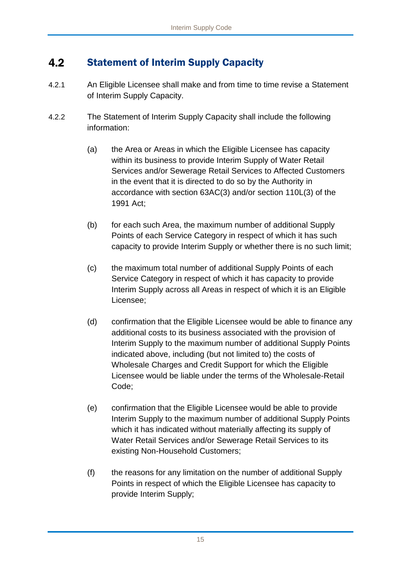# <span id="page-15-0"></span> $4.2$ Statement of Interim Supply Capacity

- 4.2.1 An Eligible Licensee shall make and from time to time revise a Statement of Interim Supply Capacity.
- 4.2.2 The Statement of Interim Supply Capacity shall include the following information:
	- (a) the Area or Areas in which the Eligible Licensee has capacity within its business to provide Interim Supply of Water Retail Services and/or Sewerage Retail Services to Affected Customers in the event that it is directed to do so by the Authority in accordance with section 63AC(3) and/or section 110L(3) of the 1991 Act;
	- (b) for each such Area, the maximum number of additional Supply Points of each Service Category in respect of which it has such capacity to provide Interim Supply or whether there is no such limit;
	- (c) the maximum total number of additional Supply Points of each Service Category in respect of which it has capacity to provide Interim Supply across all Areas in respect of which it is an Eligible Licensee;
	- (d) confirmation that the Eligible Licensee would be able to finance any additional costs to its business associated with the provision of Interim Supply to the maximum number of additional Supply Points indicated above, including (but not limited to) the costs of Wholesale Charges and Credit Support for which the Eligible Licensee would be liable under the terms of the Wholesale-Retail Code;
	- (e) confirmation that the Eligible Licensee would be able to provide Interim Supply to the maximum number of additional Supply Points which it has indicated without materially affecting its supply of Water Retail Services and/or Sewerage Retail Services to its existing Non-Household Customers;
	- (f) the reasons for any limitation on the number of additional Supply Points in respect of which the Eligible Licensee has capacity to provide Interim Supply;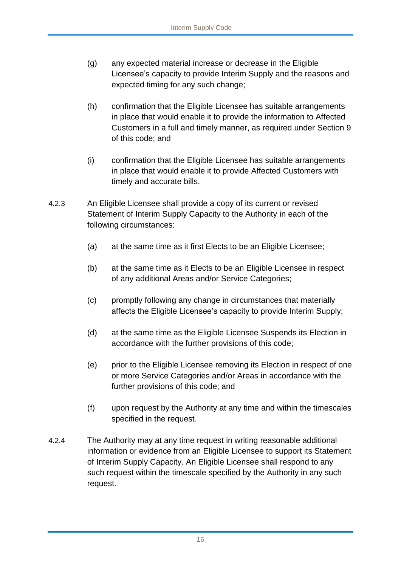- (g) any expected material increase or decrease in the Eligible Licensee's capacity to provide Interim Supply and the reasons and expected timing for any such change;
- (h) confirmation that the Eligible Licensee has suitable arrangements in place that would enable it to provide the information to Affected Customers in a full and timely manner, as required under Section 9 of this code; and
- (i) confirmation that the Eligible Licensee has suitable arrangements in place that would enable it to provide Affected Customers with timely and accurate bills.
- 4.2.3 An Eligible Licensee shall provide a copy of its current or revised Statement of Interim Supply Capacity to the Authority in each of the following circumstances:
	- (a) at the same time as it first Elects to be an Eligible Licensee;
	- (b) at the same time as it Elects to be an Eligible Licensee in respect of any additional Areas and/or Service Categories;
	- (c) promptly following any change in circumstances that materially affects the Eligible Licensee's capacity to provide Interim Supply;
	- (d) at the same time as the Eligible Licensee Suspends its Election in accordance with the further provisions of this code;
	- (e) prior to the Eligible Licensee removing its Election in respect of one or more Service Categories and/or Areas in accordance with the further provisions of this code; and
	- (f) upon request by the Authority at any time and within the timescales specified in the request.
- 4.2.4 The Authority may at any time request in writing reasonable additional information or evidence from an Eligible Licensee to support its Statement of Interim Supply Capacity. An Eligible Licensee shall respond to any such request within the timescale specified by the Authority in any such request.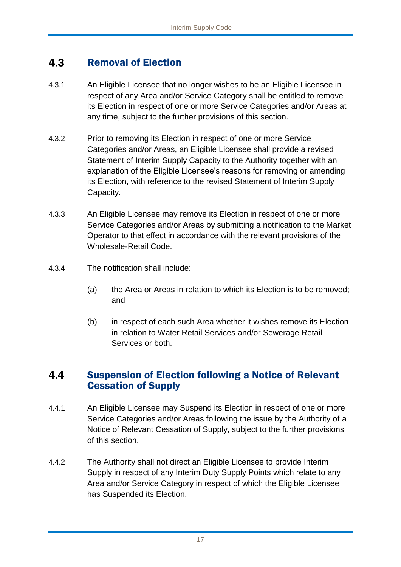# <span id="page-17-0"></span> $4.3$ Removal of Election

- 4.3.1 An Eligible Licensee that no longer wishes to be an Eligible Licensee in respect of any Area and/or Service Category shall be entitled to remove its Election in respect of one or more Service Categories and/or Areas at any time, subject to the further provisions of this section.
- 4.3.2 Prior to removing its Election in respect of one or more Service Categories and/or Areas, an Eligible Licensee shall provide a revised Statement of Interim Supply Capacity to the Authority together with an explanation of the Eligible Licensee's reasons for removing or amending its Election, with reference to the revised Statement of Interim Supply Capacity.
- 4.3.3 An Eligible Licensee may remove its Election in respect of one or more Service Categories and/or Areas by submitting a notification to the Market Operator to that effect in accordance with the relevant provisions of the Wholesale-Retail Code.
- 4.3.4 The notification shall include:
	- (a) the Area or Areas in relation to which its Election is to be removed; and
	- (b) in respect of each such Area whether it wishes remove its Election in relation to Water Retail Services and/or Sewerage Retail Services or both.

# <span id="page-17-1"></span> $4.4$ Suspension of Election following a Notice of Relevant Cessation of Supply

- 4.4.1 An Eligible Licensee may Suspend its Election in respect of one or more Service Categories and/or Areas following the issue by the Authority of a Notice of Relevant Cessation of Supply, subject to the further provisions of this section.
- 4.4.2 The Authority shall not direct an Eligible Licensee to provide Interim Supply in respect of any Interim Duty Supply Points which relate to any Area and/or Service Category in respect of which the Eligible Licensee has Suspended its Election.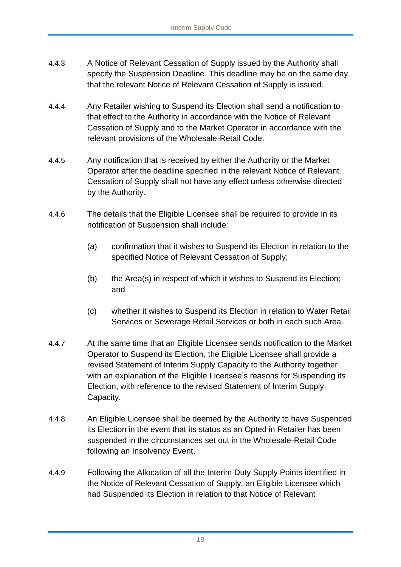- 4.4.3 A Notice of Relevant Cessation of Supply issued by the Authority shall specify the Suspension Deadline. This deadline may be on the same day that the relevant Notice of Relevant Cessation of Supply is issued.
- 4.4.4 Any Retailer wishing to Suspend its Election shall send a notification to that effect to the Authority in accordance with the Notice of Relevant Cessation of Supply and to the Market Operator in accordance with the relevant provisions of the Wholesale-Retail Code.
- 4.4.5 Any notification that is received by either the Authority or the Market Operator after the deadline specified in the relevant Notice of Relevant Cessation of Supply shall not have any effect unless otherwise directed by the Authority.
- 4.4.6 The details that the Eligible Licensee shall be required to provide in its notification of Suspension shall include:
	- (a) confirmation that it wishes to Suspend its Election in relation to the specified Notice of Relevant Cessation of Supply;
	- (b) the Area(s) in respect of which it wishes to Suspend its Election; and
	- (c) whether it wishes to Suspend its Election in relation to Water Retail Services or Sewerage Retail Services or both in each such Area.
- 4.4.7 At the same time that an Eligible Licensee sends notification to the Market Operator to Suspend its Election, the Eligible Licensee shall provide a revised Statement of Interim Supply Capacity to the Authority together with an explanation of the Eligible Licensee's reasons for Suspending its Election, with reference to the revised Statement of Interim Supply Capacity.
- 4.4.8 An Eligible Licensee shall be deemed by the Authority to have Suspended its Election in the event that its status as an Opted in Retailer has been suspended in the circumstances set out in the Wholesale-Retail Code following an Insolvency Event.
- 4.4.9 Following the Allocation of all the Interim Duty Supply Points identified in the Notice of Relevant Cessation of Supply, an Eligible Licensee which had Suspended its Election in relation to that Notice of Relevant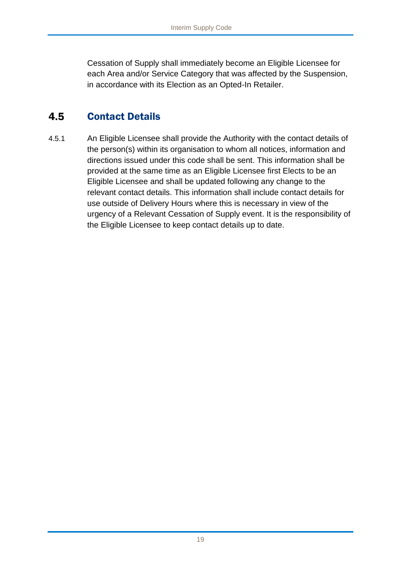Cessation of Supply shall immediately become an Eligible Licensee for each Area and/or Service Category that was affected by the Suspension, in accordance with its Election as an Opted-In Retailer.

# <span id="page-19-0"></span>4.5 Contact Details

4.5.1 An Eligible Licensee shall provide the Authority with the contact details of the person(s) within its organisation to whom all notices, information and directions issued under this code shall be sent. This information shall be provided at the same time as an Eligible Licensee first Elects to be an Eligible Licensee and shall be updated following any change to the relevant contact details. This information shall include contact details for use outside of Delivery Hours where this is necessary in view of the urgency of a Relevant Cessation of Supply event. It is the responsibility of the Eligible Licensee to keep contact details up to date.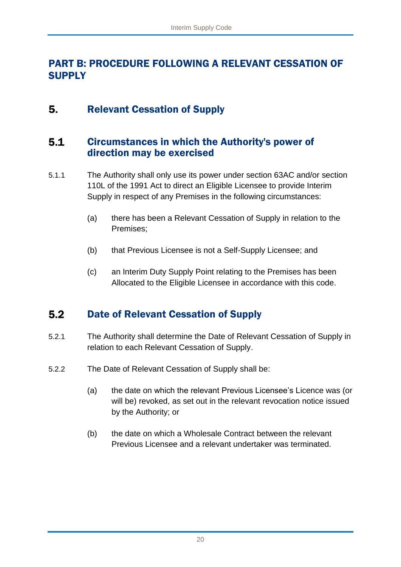# <span id="page-20-0"></span>PART B: PROCEDURE FOLLOWING A RELEVANT CESSATION OF **SUPPLY**

### <span id="page-20-1"></span>5. Relevant Cessation of Supply

# <span id="page-20-2"></span> $5.1$ Circumstances in which the Authority's power of direction may be exercised

- 5.1.1 The Authority shall only use its power under section 63AC and/or section 110L of the 1991 Act to direct an Eligible Licensee to provide Interim Supply in respect of any Premises in the following circumstances:
	- (a) there has been a Relevant Cessation of Supply in relation to the Premises;
	- (b) that Previous Licensee is not a Self-Supply Licensee; and
	- (c) an Interim Duty Supply Point relating to the Premises has been Allocated to the Eligible Licensee in accordance with this code.

#### <span id="page-20-3"></span> $5.2$ Date of Relevant Cessation of Supply

- 5.2.1 The Authority shall determine the Date of Relevant Cessation of Supply in relation to each Relevant Cessation of Supply.
- 5.2.2 The Date of Relevant Cessation of Supply shall be:
	- (a) the date on which the relevant Previous Licensee's Licence was (or will be) revoked, as set out in the relevant revocation notice issued by the Authority; or
	- (b) the date on which a Wholesale Contract between the relevant Previous Licensee and a relevant undertaker was terminated.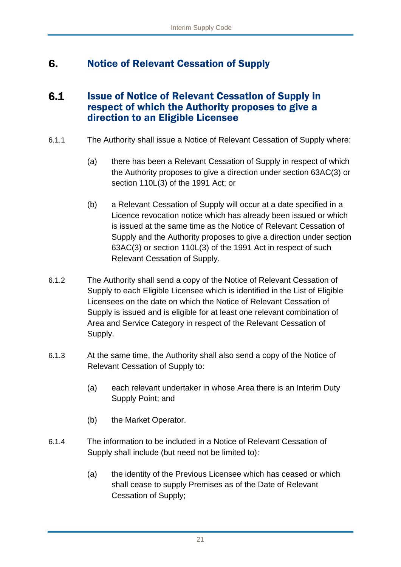### <span id="page-21-0"></span>6. Notice of Relevant Cessation of Supply

# <span id="page-21-1"></span> $6.1$ Issue of Notice of Relevant Cessation of Supply in respect of which the Authority proposes to give a direction to an Eligible Licensee

- 6.1.1 The Authority shall issue a Notice of Relevant Cessation of Supply where:
	- (a) there has been a Relevant Cessation of Supply in respect of which the Authority proposes to give a direction under section 63AC(3) or section 110L(3) of the 1991 Act; or
	- (b) a Relevant Cessation of Supply will occur at a date specified in a Licence revocation notice which has already been issued or which is issued at the same time as the Notice of Relevant Cessation of Supply and the Authority proposes to give a direction under section 63AC(3) or section 110L(3) of the 1991 Act in respect of such Relevant Cessation of Supply.
- 6.1.2 The Authority shall send a copy of the Notice of Relevant Cessation of Supply to each Eligible Licensee which is identified in the List of Eligible Licensees on the date on which the Notice of Relevant Cessation of Supply is issued and is eligible for at least one relevant combination of Area and Service Category in respect of the Relevant Cessation of Supply.
- 6.1.3 At the same time, the Authority shall also send a copy of the Notice of Relevant Cessation of Supply to:
	- (a) each relevant undertaker in whose Area there is an Interim Duty Supply Point; and
	- (b) the Market Operator.
- 6.1.4 The information to be included in a Notice of Relevant Cessation of Supply shall include (but need not be limited to):
	- (a) the identity of the Previous Licensee which has ceased or which shall cease to supply Premises as of the Date of Relevant Cessation of Supply;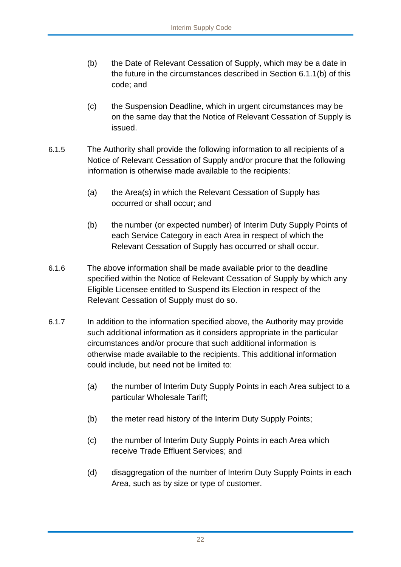- (b) the Date of Relevant Cessation of Supply, which may be a date in the future in the circumstances described in Section 6.1.1(b) of this code; and
- (c) the Suspension Deadline, which in urgent circumstances may be on the same day that the Notice of Relevant Cessation of Supply is issued.
- 6.1.5 The Authority shall provide the following information to all recipients of a Notice of Relevant Cessation of Supply and/or procure that the following information is otherwise made available to the recipients:
	- (a) the Area(s) in which the Relevant Cessation of Supply has occurred or shall occur; and
	- (b) the number (or expected number) of Interim Duty Supply Points of each Service Category in each Area in respect of which the Relevant Cessation of Supply has occurred or shall occur.
- 6.1.6 The above information shall be made available prior to the deadline specified within the Notice of Relevant Cessation of Supply by which any Eligible Licensee entitled to Suspend its Election in respect of the Relevant Cessation of Supply must do so.
- 6.1.7 In addition to the information specified above, the Authority may provide such additional information as it considers appropriate in the particular circumstances and/or procure that such additional information is otherwise made available to the recipients. This additional information could include, but need not be limited to:
	- (a) the number of Interim Duty Supply Points in each Area subject to a particular Wholesale Tariff;
	- (b) the meter read history of the Interim Duty Supply Points;
	- (c) the number of Interim Duty Supply Points in each Area which receive Trade Effluent Services; and
	- (d) disaggregation of the number of Interim Duty Supply Points in each Area, such as by size or type of customer.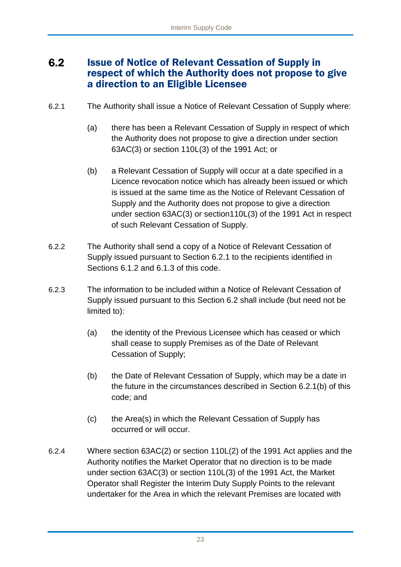# <span id="page-23-0"></span> $6.2$ Issue of Notice of Relevant Cessation of Supply in respect of which the Authority does not propose to give a direction to an Eligible Licensee

- 6.2.1 The Authority shall issue a Notice of Relevant Cessation of Supply where:
	- (a) there has been a Relevant Cessation of Supply in respect of which the Authority does not propose to give a direction under section 63AC(3) or section 110L(3) of the 1991 Act; or
	- (b) a Relevant Cessation of Supply will occur at a date specified in a Licence revocation notice which has already been issued or which is issued at the same time as the Notice of Relevant Cessation of Supply and the Authority does not propose to give a direction under section 63AC(3) or section110L(3) of the 1991 Act in respect of such Relevant Cessation of Supply.
- 6.2.2 The Authority shall send a copy of a Notice of Relevant Cessation of Supply issued pursuant to Section 6.2.1 to the recipients identified in Sections 6.1.2 and 6.1.3 of this code.
- 6.2.3 The information to be included within a Notice of Relevant Cessation of Supply issued pursuant to this Section 6.2 shall include (but need not be limited to):
	- (a) the identity of the Previous Licensee which has ceased or which shall cease to supply Premises as of the Date of Relevant Cessation of Supply;
	- (b) the Date of Relevant Cessation of Supply, which may be a date in the future in the circumstances described in Section 6.2.1(b) of this code; and
	- (c) the Area(s) in which the Relevant Cessation of Supply has occurred or will occur.
- 6.2.4 Where section 63AC(2) or section 110L(2) of the 1991 Act applies and the Authority notifies the Market Operator that no direction is to be made under section 63AC(3) or section 110L(3) of the 1991 Act, the Market Operator shall Register the Interim Duty Supply Points to the relevant undertaker for the Area in which the relevant Premises are located with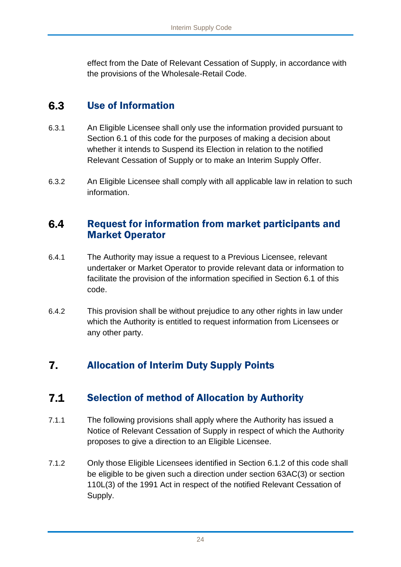effect from the Date of Relevant Cessation of Supply, in accordance with the provisions of the Wholesale-Retail Code.

### <span id="page-24-0"></span> $6.3$ Use of Information

- 6.3.1 An Eligible Licensee shall only use the information provided pursuant to Section 6.1 of this code for the purposes of making a decision about whether it intends to Suspend its Election in relation to the notified Relevant Cessation of Supply or to make an Interim Supply Offer.
- 6.3.2 An Eligible Licensee shall comply with all applicable law in relation to such information.

# <span id="page-24-1"></span> $6.4$ Request for information from market participants and Market Operator

- 6.4.1 The Authority may issue a request to a Previous Licensee, relevant undertaker or Market Operator to provide relevant data or information to facilitate the provision of the information specified in Section 6.1 of this code.
- 6.4.2 This provision shall be without prejudice to any other rights in law under which the Authority is entitled to request information from Licensees or any other party.

# <span id="page-24-2"></span> $\overline{7}$ . Allocation of Interim Duty Supply Points

# <span id="page-24-3"></span> $7.1$ Selection of method of Allocation by Authority

- 7.1.1 The following provisions shall apply where the Authority has issued a Notice of Relevant Cessation of Supply in respect of which the Authority proposes to give a direction to an Eligible Licensee.
- 7.1.2 Only those Eligible Licensees identified in Section 6.1.2 of this code shall be eligible to be given such a direction under section 63AC(3) or section 110L(3) of the 1991 Act in respect of the notified Relevant Cessation of Supply.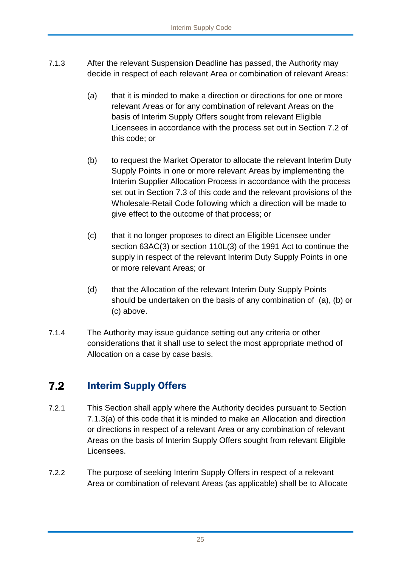- 7.1.3 After the relevant Suspension Deadline has passed, the Authority may decide in respect of each relevant Area or combination of relevant Areas:
	- (a) that it is minded to make a direction or directions for one or more relevant Areas or for any combination of relevant Areas on the basis of Interim Supply Offers sought from relevant Eligible Licensees in accordance with the process set out in Section 7.2 of this code; or
	- (b) to request the Market Operator to allocate the relevant Interim Duty Supply Points in one or more relevant Areas by implementing the Interim Supplier Allocation Process in accordance with the process set out in Section 7.3 of this code and the relevant provisions of the Wholesale-Retail Code following which a direction will be made to give effect to the outcome of that process; or
	- (c) that it no longer proposes to direct an Eligible Licensee under section 63AC(3) or section 110L(3) of the 1991 Act to continue the supply in respect of the relevant Interim Duty Supply Points in one or more relevant Areas; or
	- (d) that the Allocation of the relevant Interim Duty Supply Points should be undertaken on the basis of any combination of (a), (b) or (c) above.
- 7.1.4 The Authority may issue guidance setting out any criteria or other considerations that it shall use to select the most appropriate method of Allocation on a case by case basis.

# <span id="page-25-0"></span> $7.2$ Interim Supply Offers

- 7.2.1 This Section shall apply where the Authority decides pursuant to Section 7.1.3(a) of this code that it is minded to make an Allocation and direction or directions in respect of a relevant Area or any combination of relevant Areas on the basis of Interim Supply Offers sought from relevant Eligible Licensees.
- 7.2.2 The purpose of seeking Interim Supply Offers in respect of a relevant Area or combination of relevant Areas (as applicable) shall be to Allocate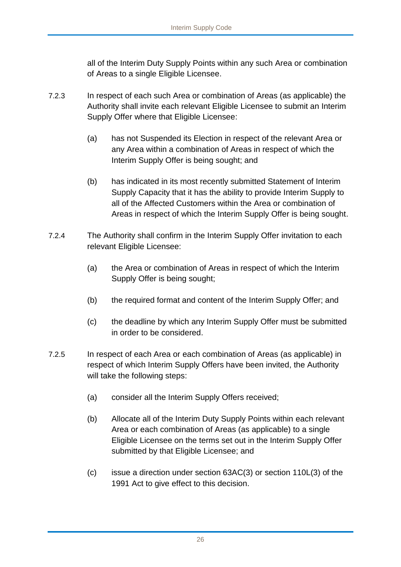all of the Interim Duty Supply Points within any such Area or combination of Areas to a single Eligible Licensee.

- 7.2.3 In respect of each such Area or combination of Areas (as applicable) the Authority shall invite each relevant Eligible Licensee to submit an Interim Supply Offer where that Eligible Licensee:
	- (a) has not Suspended its Election in respect of the relevant Area or any Area within a combination of Areas in respect of which the Interim Supply Offer is being sought; and
	- (b) has indicated in its most recently submitted Statement of Interim Supply Capacity that it has the ability to provide Interim Supply to all of the Affected Customers within the Area or combination of Areas in respect of which the Interim Supply Offer is being sought.
- 7.2.4 The Authority shall confirm in the Interim Supply Offer invitation to each relevant Eligible Licensee:
	- (a) the Area or combination of Areas in respect of which the Interim Supply Offer is being sought;
	- (b) the required format and content of the Interim Supply Offer; and
	- (c) the deadline by which any Interim Supply Offer must be submitted in order to be considered.
- 7.2.5 In respect of each Area or each combination of Areas (as applicable) in respect of which Interim Supply Offers have been invited, the Authority will take the following steps:
	- (a) consider all the Interim Supply Offers received;
	- (b) Allocate all of the Interim Duty Supply Points within each relevant Area or each combination of Areas (as applicable) to a single Eligible Licensee on the terms set out in the Interim Supply Offer submitted by that Eligible Licensee; and
	- (c) issue a direction under section 63AC(3) or section 110L(3) of the 1991 Act to give effect to this decision.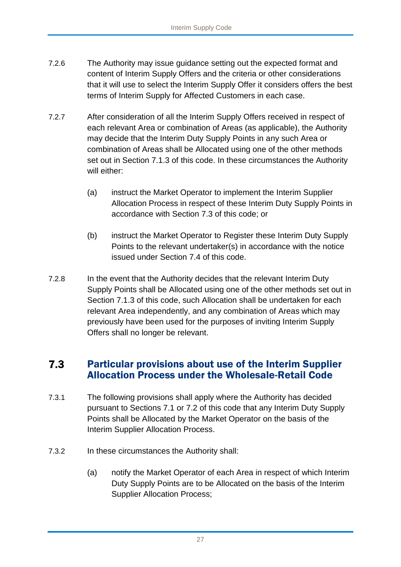- 7.2.6 The Authority may issue guidance setting out the expected format and content of Interim Supply Offers and the criteria or other considerations that it will use to select the Interim Supply Offer it considers offers the best terms of Interim Supply for Affected Customers in each case.
- 7.2.7 After consideration of all the Interim Supply Offers received in respect of each relevant Area or combination of Areas (as applicable), the Authority may decide that the Interim Duty Supply Points in any such Area or combination of Areas shall be Allocated using one of the other methods set out in Section 7.1.3 of this code. In these circumstances the Authority will either:
	- (a) instruct the Market Operator to implement the Interim Supplier Allocation Process in respect of these Interim Duty Supply Points in accordance with Section 7.3 of this code; or
	- (b) instruct the Market Operator to Register these Interim Duty Supply Points to the relevant undertaker(s) in accordance with the notice issued under Section 7.4 of this code.
- 7.2.8 In the event that the Authority decides that the relevant Interim Duty Supply Points shall be Allocated using one of the other methods set out in Section 7.1.3 of this code, such Allocation shall be undertaken for each relevant Area independently, and any combination of Areas which may previously have been used for the purposes of inviting Interim Supply Offers shall no longer be relevant.

# <span id="page-27-0"></span>Particular provisions about use of the Interim Supplier  $7.3$ Allocation Process under the Wholesale-Retail Code

- 7.3.1 The following provisions shall apply where the Authority has decided pursuant to Sections 7.1 or 7.2 of this code that any Interim Duty Supply Points shall be Allocated by the Market Operator on the basis of the Interim Supplier Allocation Process.
- 7.3.2 In these circumstances the Authority shall:
	- (a) notify the Market Operator of each Area in respect of which Interim Duty Supply Points are to be Allocated on the basis of the Interim Supplier Allocation Process;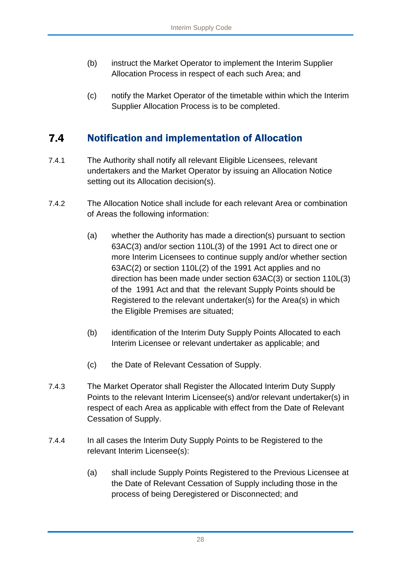- (b) instruct the Market Operator to implement the Interim Supplier Allocation Process in respect of each such Area; and
- (c) notify the Market Operator of the timetable within which the Interim Supplier Allocation Process is to be completed.

### <span id="page-28-0"></span> $7.4$ Notification and implementation of Allocation

- 7.4.1 The Authority shall notify all relevant Eligible Licensees, relevant undertakers and the Market Operator by issuing an Allocation Notice setting out its Allocation decision(s).
- 7.4.2 The Allocation Notice shall include for each relevant Area or combination of Areas the following information:
	- (a) whether the Authority has made a direction(s) pursuant to section 63AC(3) and/or section 110L(3) of the 1991 Act to direct one or more Interim Licensees to continue supply and/or whether section 63AC(2) or section 110L(2) of the 1991 Act applies and no direction has been made under section 63AC(3) or section 110L(3) of the 1991 Act and that the relevant Supply Points should be Registered to the relevant undertaker(s) for the Area(s) in which the Eligible Premises are situated;
	- (b) identification of the Interim Duty Supply Points Allocated to each Interim Licensee or relevant undertaker as applicable; and
	- (c) the Date of Relevant Cessation of Supply.
- 7.4.3 The Market Operator shall Register the Allocated Interim Duty Supply Points to the relevant Interim Licensee(s) and/or relevant undertaker(s) in respect of each Area as applicable with effect from the Date of Relevant Cessation of Supply.
- 7.4.4 In all cases the Interim Duty Supply Points to be Registered to the relevant Interim Licensee(s):
	- (a) shall include Supply Points Registered to the Previous Licensee at the Date of Relevant Cessation of Supply including those in the process of being Deregistered or Disconnected; and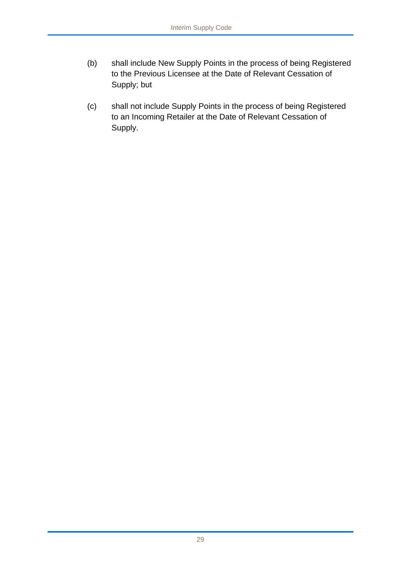- (b) shall include New Supply Points in the process of being Registered to the Previous Licensee at the Date of Relevant Cessation of Supply; but
- (c) shall not include Supply Points in the process of being Registered to an Incoming Retailer at the Date of Relevant Cessation of Supply.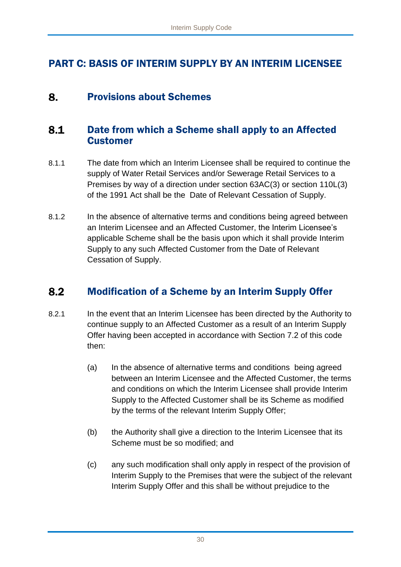# <span id="page-30-0"></span>PART C: BASIS OF INTERIM SUPPLY BY AN INTERIM LICENSEE

#### <span id="page-30-1"></span>Provisions about Schemes 8.

# <span id="page-30-2"></span>8.1 Date from which a Scheme shall apply to an Affected Customer

- 8.1.1 The date from which an Interim Licensee shall be required to continue the supply of Water Retail Services and/or Sewerage Retail Services to a Premises by way of a direction under section 63AC(3) or section 110L(3) of the 1991 Act shall be the Date of Relevant Cessation of Supply.
- 8.1.2 In the absence of alternative terms and conditions being agreed between an Interim Licensee and an Affected Customer, the Interim Licensee's applicable Scheme shall be the basis upon which it shall provide Interim Supply to any such Affected Customer from the Date of Relevant Cessation of Supply.

#### <span id="page-30-3"></span> $8.2$ Modification of a Scheme by an Interim Supply Offer

- 8.2.1 In the event that an Interim Licensee has been directed by the Authority to continue supply to an Affected Customer as a result of an Interim Supply Offer having been accepted in accordance with Section 7.2 of this code then:
	- (a) In the absence of alternative terms and conditions being agreed between an Interim Licensee and the Affected Customer, the terms and conditions on which the Interim Licensee shall provide Interim Supply to the Affected Customer shall be its Scheme as modified by the terms of the relevant Interim Supply Offer;
	- (b) the Authority shall give a direction to the Interim Licensee that its Scheme must be so modified; and
	- (c) any such modification shall only apply in respect of the provision of Interim Supply to the Premises that were the subject of the relevant Interim Supply Offer and this shall be without prejudice to the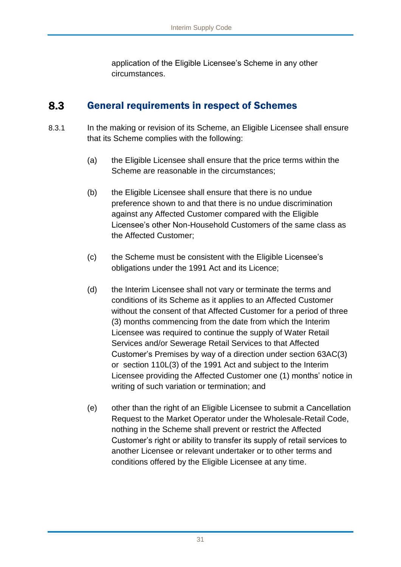application of the Eligible Licensee's Scheme in any other circumstances.

#### <span id="page-31-0"></span>8.3 General requirements in respect of Schemes

- 8.3.1 In the making or revision of its Scheme, an Eligible Licensee shall ensure that its Scheme complies with the following:
	- (a) the Eligible Licensee shall ensure that the price terms within the Scheme are reasonable in the circumstances;
	- (b) the Eligible Licensee shall ensure that there is no undue preference shown to and that there is no undue discrimination against any Affected Customer compared with the Eligible Licensee's other Non-Household Customers of the same class as the Affected Customer;
	- (c) the Scheme must be consistent with the Eligible Licensee's obligations under the 1991 Act and its Licence;
	- (d) the Interim Licensee shall not vary or terminate the terms and conditions of its Scheme as it applies to an Affected Customer without the consent of that Affected Customer for a period of three (3) months commencing from the date from which the Interim Licensee was required to continue the supply of Water Retail Services and/or Sewerage Retail Services to that Affected Customer's Premises by way of a direction under section 63AC(3) or section 110L(3) of the 1991 Act and subject to the Interim Licensee providing the Affected Customer one (1) months' notice in writing of such variation or termination; and
	- (e) other than the right of an Eligible Licensee to submit a Cancellation Request to the Market Operator under the Wholesale-Retail Code, nothing in the Scheme shall prevent or restrict the Affected Customer's right or ability to transfer its supply of retail services to another Licensee or relevant undertaker or to other terms and conditions offered by the Eligible Licensee at any time.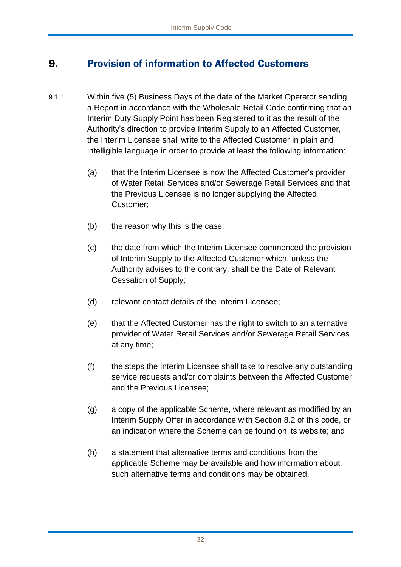### <span id="page-32-0"></span>9. Provision of information to Affected Customers

- 9.1.1 Within five (5) Business Days of the date of the Market Operator sending a Report in accordance with the Wholesale Retail Code confirming that an Interim Duty Supply Point has been Registered to it as the result of the Authority's direction to provide Interim Supply to an Affected Customer, the Interim Licensee shall write to the Affected Customer in plain and intelligible language in order to provide at least the following information:
	- (a) that the Interim Licensee is now the Affected Customer's provider of Water Retail Services and/or Sewerage Retail Services and that the Previous Licensee is no longer supplying the Affected Customer;
	- (b) the reason why this is the case;
	- (c) the date from which the Interim Licensee commenced the provision of Interim Supply to the Affected Customer which, unless the Authority advises to the contrary, shall be the Date of Relevant Cessation of Supply;
	- (d) relevant contact details of the Interim Licensee;
	- (e) that the Affected Customer has the right to switch to an alternative provider of Water Retail Services and/or Sewerage Retail Services at any time;
	- (f) the steps the Interim Licensee shall take to resolve any outstanding service requests and/or complaints between the Affected Customer and the Previous Licensee;
	- (g) a copy of the applicable Scheme, where relevant as modified by an Interim Supply Offer in accordance with Section 8.2 of this code, or an indication where the Scheme can be found on its website; and
	- (h) a statement that alternative terms and conditions from the applicable Scheme may be available and how information about such alternative terms and conditions may be obtained.